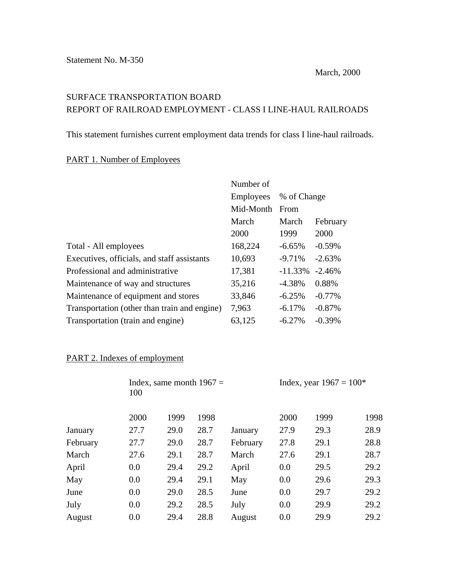## SURFACE TRANSPORTATION BOARD REPORT OF RAILROAD EMPLOYMENT - CLASS I LINE-HAUL RAILROADS

This statement furnishes current employment data trends for class I line-haul railroads.

## PART 1. Number of Employees

| Number of        |             |           |
|------------------|-------------|-----------|
| <b>Employees</b> | % of Change |           |
| Mid-Month        | From        |           |
| March            | March       | February  |
| 2000             | 1999        | 2000      |
| 168,224          | $-6.65\%$   | $-0.59%$  |
| 10,693           | $-9.71%$    | $-2.63\%$ |
| 17,381           | $-11.33%$   | $-2.46%$  |
| 35,216           | $-4.38%$    | 0.88%     |
| 33,846           | $-6.25%$    | $-0.77%$  |
| 7,963            | $-6.17\%$   | $-0.87%$  |
| 63,125           | $-6.27%$    | $-0.39%$  |
|                  |             |           |

## PART 2. Indexes of employment

|          | 100  | Index, same month $1967 =$ |      | Index, year $1967 = 100*$ |      |      |      |
|----------|------|----------------------------|------|---------------------------|------|------|------|
|          | 2000 | 1999                       | 1998 |                           | 2000 | 1999 | 1998 |
| January  | 27.7 | 29.0                       | 28.7 | January                   | 27.9 | 29.3 | 28.9 |
| February | 27.7 | 29.0                       | 28.7 | February                  | 27.8 | 29.1 | 28.8 |
| March    | 27.6 | 29.1                       | 28.7 | March                     | 27.6 | 29.1 | 28.7 |
| April    | 0.0  | 29.4                       | 29.2 | April                     | 0.0  | 29.5 | 29.2 |
| May      | 0.0  | 29.4                       | 29.1 | May                       | 0.0  | 29.6 | 29.3 |
| June     | 0.0  | 29.0                       | 28.5 | June                      | 0.0  | 29.7 | 29.2 |
| July     | 0.0  | 29.2                       | 28.5 | July                      | 0.0  | 29.9 | 29.2 |
| August   | 0.0  | 29.4                       | 28.8 | August                    | 0.0  | 29.9 | 29.2 |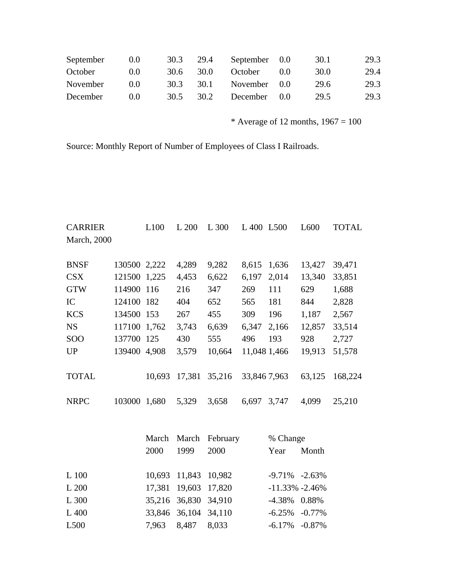| September | (0.0)         | 30.3 | 29.4  | September 0.0 |     | 30.1 | 29.3 |
|-----------|---------------|------|-------|---------------|-----|------|------|
| October   | (0.0)         | 30.6 | -30.0 | October       | (1) | 30.0 | 29.4 |
| November  | $( )$ . $( )$ | 30.3 | 30.1  | November 0.0  |     | 29.6 | 29.3 |
| December  | $( )$ . $( )$ | 30.5 | 30.2  | December 0.0  |     | 29.5 | 29.3 |

\* Average of 12 months,  $1967 = 100$ 

Source: Monthly Report of Number of Employees of Class I Railroads.

| <b>CARRIER</b>        |              | L100   | L 200                      | L 300         | L 400 L 500  |              | L600   | TOTAL   |
|-----------------------|--------------|--------|----------------------------|---------------|--------------|--------------|--------|---------|
| <b>March</b> , 2000   |              |        |                            |               |              |              |        |         |
|                       |              |        |                            |               |              |              |        |         |
| <b>BNSF</b>           | 130500 2,222 |        | 4,289                      | 9,282         | 8,615        | 1,636        | 13,427 | 39,471  |
| <b>CSX</b>            | 121500 1,225 |        | 4,453                      | 6,622         | 6,197        | 2,014        | 13,340 | 33,851  |
| <b>GTW</b>            | 114900 116   |        | 216                        | 347           | 269          | 111          | 629    | 1,688   |
| IC                    | 124100 182   |        | 404                        | 652           | 565          | 181          | 844    | 2,828   |
| <b>KCS</b>            | 134500 153   |        | 267                        | 455           | 309          | 196          | 1,187  | 2,567   |
| <b>NS</b>             | 117100 1,762 |        | 3,743                      | 6,639         | 6,347        | 2,166        | 12,857 | 33,514  |
| <b>SOO</b>            | 137700 125   |        | 430                        | 555           | 496          | 193          | 928    | 2,727   |
| <b>UP</b>             | 139400 4,908 |        | 3,579                      | 10,664        |              | 11,048 1,466 | 19,913 | 51,578  |
|                       |              |        |                            |               |              |              |        |         |
| <b>TOTAL</b>          |              | 10,693 |                            | 17,381 35,216 | 33,846 7,963 |              | 63,125 | 168,224 |
|                       |              |        |                            |               |              |              |        |         |
| <b>NRPC</b>           | 103000 1,680 |        | 5,329                      | 3,658         | 6,697        | 3,747        | 4,099  | 25,210  |
|                       |              |        |                            |               |              |              |        |         |
|                       |              |        |                            |               |              |              |        |         |
|                       |              | March  | March                      | February      |              | % Change     |        |         |
|                       |              | 2000   | 1999                       | 2000          |              | Year         | Month  |         |
|                       |              |        |                            |               |              |              |        |         |
| $T = 1 \Omega \Omega$ |              |        | $10.602 - 11.012 - 10.002$ |               |              | 0.710/       | 2001   |         |

| L 100 | 10,693 11,843 10,982 | $-9.71\% -2.63\%$  |  |
|-------|----------------------|--------------------|--|
| L 200 | 17,381 19,603 17,820 | $-11.33\% -2.46\%$ |  |
| L 300 | 35,216 36,830 34,910 | $-4.38\%$ 0.88%    |  |
| L 400 | 33,846 36,104 34,110 | $-6.25\% -0.77\%$  |  |
| L500  | 7,963 8,487 8,033    | $-6.17\% -0.87\%$  |  |